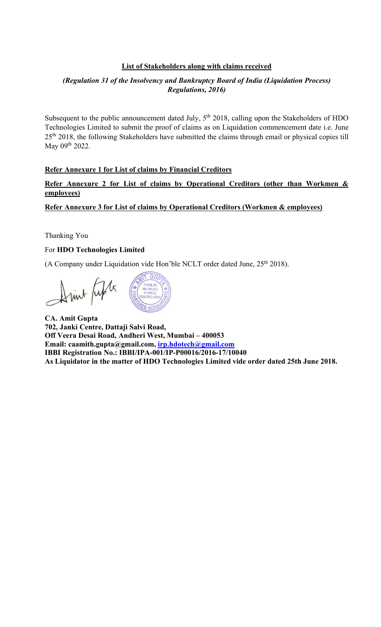### List of Stakeholders along with claims received

## (Regulation 31 of the Insolvency and Bankruptcy Board of India (Liquidation Process) Regulations, 2016)

Subsequent to the public announcement dated July,  $5<sup>th</sup>$  2018, calling upon the Stakeholders of HDO Technologies Limited to submit the proof of claims as on Liquidation commencement date i.e. June 25<sup>th</sup> 2018, the following Stakeholders have submitted the claims through email or physical copies till May 09th 2022.

### Refer Annexure 1 for List of claims by Financial Creditors

Refer Annexure 2 for List of claims by Operational Creditors (other than Workmen & employees)

Refer Annexure 3 for List of claims by Operational Creditors (Workmen & employees)

Thanking You

#### For HDO Technologies Limited

(A Company under Liquidation vide Hon'ble NCLT order dated June, 25<sup>th</sup> 2018).

 $GI$ Sint Lifts

CA. Amit Gupta 702, Janki Centre, Dattaji Salvi Road, Off Veera Desai Road, Andheri West, Mumbai – 400053 Email: caamith.gupta@gmail.com, irp.hdotech@gmail.com IBBI Registration No.: IBBI/IPA-001/IP-P00016/2016-17/10040 As Liquidator in the matter of HDO Technologies Limited vide order dated 25th June 2018.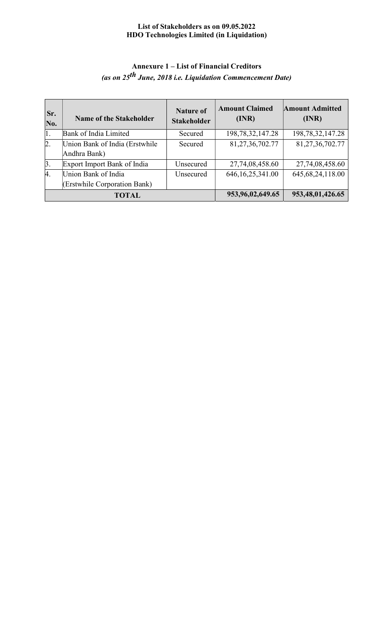# Annexure 1 – List of Financial Creditors (as on 25<sup>th</sup> June, 2018 i.e. Liquidation Commencement Date)

| Sr.<br>No.       | <b>Name of the Stakeholder</b>  | <b>Nature of</b><br><b>Stakeholder</b> | <b>Amount Claimed</b><br>(INR) | <b>Amount Admitted</b><br>(INR) |
|------------------|---------------------------------|----------------------------------------|--------------------------------|---------------------------------|
| 1.               | Bank of India Limited           | Secured                                | 198, 78, 32, 147. 28           | 198, 78, 32, 147. 28            |
| $\overline{2}$ . | Union Bank of India (Erstwhile) | Secured                                | 81,27,36,702.77                | 81,27,36,702.77                 |
|                  | Andhra Bank)                    |                                        |                                |                                 |
| $\beta$ .        | Export Import Bank of India     | Unsecured                              | 27,74,08,458.60                | 27,74,08,458.60                 |
| 4.               | Union Bank of India             | Unsecured                              | 646, 16, 25, 341.00            | 645, 68, 24, 118.00             |
|                  | (Erstwhile Corporation Bank)    |                                        |                                |                                 |
|                  | <b>TOTAL</b>                    | 953, 96, 02, 649. 65                   | 953,48,01,426.65               |                                 |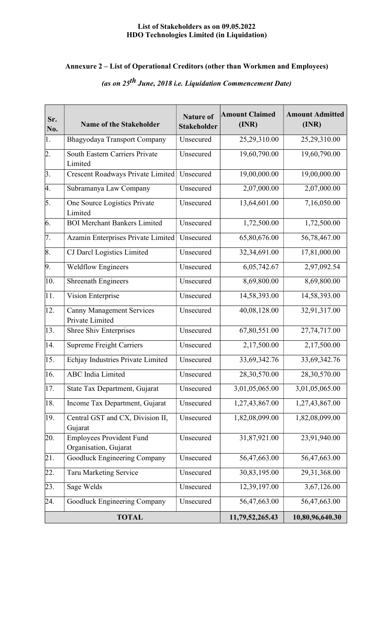# Annexure 2 – List of Operational Creditors (other than Workmen and Employees)

| Sr.<br>No. | <b>Name of the Stakeholder</b>                           | <b>Nature of</b><br><b>Stakeholder</b> | <b>Amount Claimed</b><br>(INR) | <b>Amount Admitted</b><br>(INR) |
|------------|----------------------------------------------------------|----------------------------------------|--------------------------------|---------------------------------|
| 1.         | Bhagyodaya Transport Company                             | Unsecured                              | 25,29,310.00                   | 25,29,310.00                    |
| 2.         | <b>South Eastern Carriers Private</b><br>Limited         | Unsecured                              | 19,60,790.00                   | 19,60,790.00                    |
| 3.         | Crescent Roadways Private Limited                        | Unsecured                              | 19,00,000.00                   | 19,00,000.00                    |
| 4.         | Subramanya Law Company                                   | Unsecured                              | 2,07,000.00                    | 2,07,000.00                     |
| 5.         | One Source Logistics Private<br>Limited                  | Unsecured                              | 13,64,601.00                   | 7,16,050.00                     |
| 6.         | <b>BOI Merchant Bankers Limited</b>                      | Unsecured                              | 1,72,500.00                    | 1,72,500.00                     |
| 7.         | Azamin Enterprises Private Limited                       | Unsecured                              | 65,80,676.00                   | 56,78,467.00                    |
| 8.         | <b>CJ</b> Darcl Logistics Limited                        | Unsecured                              | 32,34,691.00                   | 17,81,000.00                    |
| 9.         | <b>Weldflow Engineers</b>                                | Unsecured                              | 6,05,742.67                    | 2,97,092.54                     |
| 10.        | <b>Shreenath Engineers</b>                               | Unsecured                              | 8,69,800.00                    | 8,69,800.00                     |
| 11.        | Vision Enterprise                                        | Unsecured                              | 14,58,393.00                   | 14,58,393.00                    |
| 12.        | <b>Canny Management Services</b><br>Private Limited      | Unsecured                              | 40,08,128.00                   | 32,91,317.00                    |
| 13.        | Shree Shiv Enterprises                                   | Unsecured                              | 67,80,551.00                   | 27,74,717.00                    |
| 14.        | <b>Supreme Freight Carriers</b>                          | Unsecured                              | 2,17,500.00                    | 2,17,500.00                     |
| 15.        | Echjay Industries Private Limited                        | Unsecured                              | 33,69,342.76                   | 33,69,342.76                    |
| 16.        | <b>ABC</b> India Limited                                 | Unsecured                              | 28,30,570.00                   | 28,30,570.00                    |
| 17.        | State Tax Department, Gujarat                            | Unsecured                              | 3,01,05,065.00                 | 3,01,05,065.00                  |
| 18.        | Income Tax Department, Gujarat                           | Unsecured                              | 1,27,43,867.00                 | 1,27,43,867.00                  |
| 19.        | Central GST and CX, Division II,<br>Gujarat              | Unsecured                              | 1,82,08,099.00                 | 1,82,08,099.00                  |
| 20.        | <b>Employees Provident Fund</b><br>Organisation, Gujarat | Unsecured                              | 31,87,921.00                   | 23,91,940.00                    |
| 21.        | Goodluck Engineering Company                             | Unsecured                              | 56,47,663.00                   | 56,47,663.00                    |
| 22.        | Taru Marketing Service                                   | Unsecured                              | 30,83,195.00                   | 29,31,368.00                    |
| 23.        | Sage Welds                                               | Unsecured                              | 12,39,197.00                   | 3,67,126.00                     |
| 24.        | Goodluck Engineering Company                             | Unsecured                              | 56,47,663.00                   | 56,47,663.00                    |
|            | <b>TOTAL</b>                                             |                                        | 11,79,52,265.43                | 10,80,96,640.30                 |

# (as on  $25^{th}$  June, 2018 i.e. Liquidation Commencement Date)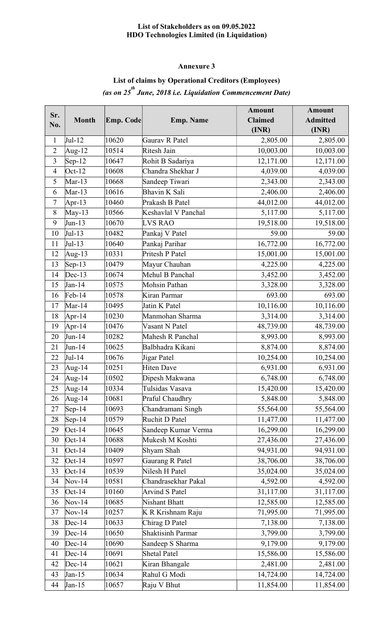## Annexure 3

## List of claims by Operational Creditors (Employees) (as on 25<sup>th</sup> June, 2018 i.e. Liquidation Commencement Date)

| Sr.            |                 |           |                          | <b>Amount</b>  | <b>Amount</b>   |
|----------------|-----------------|-----------|--------------------------|----------------|-----------------|
| No.            | <b>Month</b>    | Emp. Code | <b>Emp. Name</b>         | <b>Claimed</b> | <b>Admitted</b> |
|                |                 |           |                          | (INR)          | (INR)           |
| $\mathbf{1}$   | $Jul-12$        | 10620     | Gaurav R Patel           | 2,805.00       | 2,805.00        |
| $\overline{2}$ | Aug- $12$       | 10514     | Ritesh Jain              | 10,003.00      | 10,003.00       |
| $\overline{3}$ | $Sep-12$        | 10647     | Rohit B Sadariya         | 12,171.00      | 12,171.00       |
| $\overline{4}$ | $Oct-12$        | 10608     | Chandra Shekhar J        | 4,039.00       | 4,039.00        |
| 5              | $Mar-13$        | 10668     | Sandeep Tiwari           | 2,343.00       | 2,343.00        |
| 6              | $Mar-13$        | 10616     | Bhavin K Sali            | 2,406.00       | 2,406.00        |
| $\tau$         | Apr-13          | 10460     | Prakash B Patel          | 44,012.00      | 44,012.00       |
| $8\,$          | $May-13$        | 10566     | Keshavlal V Panchal      | 5,117.00       | 5,117.00        |
| 9              | Jun-13          | 10670     | <b>LVS RAO</b>           | 19,518.00      | 19,518.00       |
| 10             | Jul-13          | 10482     | Pankaj V Patel           | 59.00          | 59.00           |
| 11             | Jul-13          | 10640     | Pankaj Parihar           | 16,772.00      | 16,772.00       |
| 12             | Aug-13          | 10331     | Pritesh P Patel          | 15,001.00      | 15,001.00       |
| 13             | $\text{Sep-13}$ | 10479     | Mayur Chauhan            | 4,225.00       | 4,225.00        |
| 14             | $Dec-13$        | 10674     | Mehul B Panchal          | 3,452.00       | 3,452.00        |
| 15             | Jan-14          | 10575     | Mohsin Pathan            | 3,328.00       | 3,328.00        |
| 16             | $Feb-14$        | 10578     | Kiran Parmar             | 693.00         | 693.00          |
| 17             | $Mar-14$        | 10495     | Jatin K Patel            | 10,116.00      | 10,116.00       |
| 18             | Apr-14          | 10230     | Manmohan Sharma          | 3,314.00       | 3,314.00        |
| 19             | Apr-14          | 10476     | Vasant N Patel           | 48,739.00      | 48,739.00       |
| 20             | Jun-14          | 10282     | Mahesh R Panchal         | 8,993.00       | 8,993.00        |
| 21             | Jun-14          | 10625     | Balbhadra Kikani         | 8,874.00       | 8,874.00        |
| 22             | Jul-14          | 10676     | Jigar Patel              | 10,254.00      | 10,254.00       |
| 23             | Aug-14          | 10251     | <b>Hiten Dave</b>        | 6,931.00       | 6,931.00        |
| 24             | Aug-14          | 10502     | Dipesh Makwana           | 6,748.00       | 6,748.00        |
| 25             | Aug-14          | 10334     | Tulsidas Vasava          | 15,420.00      | 15,420.00       |
| 26             | Aug-14          | 10681     | Praful Chaudhry          | 5,848.00       | 5,848.00        |
| 27             | $Sep-14$        | 10693     | Chandramani Singh        | 55,564.00      | 55,564.00       |
| 28             | $\text{Sep-14}$ | 10579     | Ruchit D Patel           | 11,477.00      | 11,477.00       |
| 29             | $Oct-14$        | 10645     | Sandeep Kumar Verma      | 16,299.00      | 16,299.00       |
| 30             | $Oct-14$        | 10688     | Mukesh M Koshti          | 27,436.00      | 27,436.00       |
| 31             | $Oct-14$        | 10409     | Shyam Shah               | 94,931.00      | 94,931.00       |
| 32             | $Oct-14$        | 10597     | Gaurang R Patel          | 38,706.00      | 38,706.00       |
| 33             | $Oct-14$        | 10539     | Nilesh H Patel           | 35,024.00      | 35,024.00       |
| 34             | $Nov-14$        | 10581     | Chandrasekhar Pakal      | 4,592.00       | 4,592.00        |
| 35             | $Oct-14$        | 10160     | <b>Arvind S Patel</b>    | 31,117.00      | 31,117.00       |
| 36             | $Nov-14$        | 10685     | Nishant Bhatt            | 12,585.00      | 12,585.00       |
| 37             | $Nov-14$        | 10257     | K R Krishnam Raju        | 71,995.00      | 71,995.00       |
| 38             | $Dec-14$        | 10633     | Chirag D Patel           | 7,138.00       | 7,138.00        |
| 39             | $Dec-14$        | 10650     | <b>Shaktisinh Parmar</b> | 3,799.00       | 3,799.00        |
| 40             | $Dec-14$        | 10690     | Sandeep S Sharma         | 9,179.00       | 9,179.00        |
| 41             | $Dec-14$        | 10691     | <b>Shetal Patel</b>      | 15,586.00      | 15,586.00       |
| 42             | $Dec-14$        | 10621     | Kiran Bhangale           | 2,481.00       | 2,481.00        |
| 43             | Jan-15          | 10634     | Rahul G Modi             | 14,724.00      | 14,724.00       |
| 44             | $Jan-15$        | 10657     | Raju V Bhut              | 11,854.00      | 11,854.00       |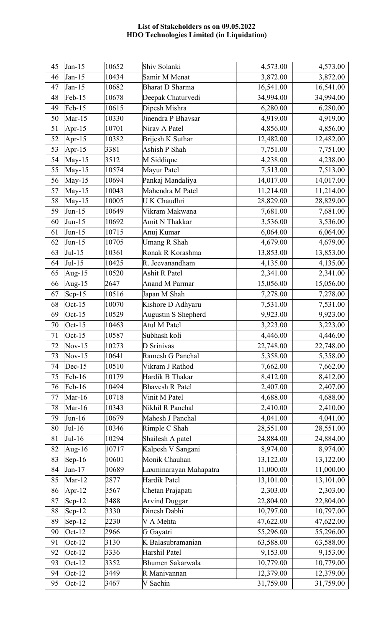| 45 | $Jan-15$        | 10652 | Shiv Solanki           | 4,573.00  | 4,573.00  |
|----|-----------------|-------|------------------------|-----------|-----------|
| 46 | Jan-15          | 10434 | Samir M Menat          | 3,872.00  | 3,872.00  |
| 47 | $Jan-15$        | 10682 | <b>Bharat D Sharma</b> | 16,541.00 | 16,541.00 |
| 48 | $Feb-15$        | 10678 | Deepak Chaturvedi      | 34,994.00 | 34,994.00 |
| 49 | $Feb-15$        | 10615 | Dipesh Mishra          | 6,280.00  | 6,280.00  |
| 50 | $Mar-15$        | 10330 | Jinendra P Bhavsar     | 4,919.00  | 4,919.00  |
| 51 | Apr-15          | 10701 | Nirav A Patel          | 4,856.00  | 4,856.00  |
| 52 | Apr-15          | 10382 | Brijesh K Suthar       | 12,482.00 | 12,482.00 |
| 53 | Apr-15          | 3381  | Ashish P Shah          | 7,751.00  | 7,751.00  |
| 54 | $May-15$        | 3512  | M Siddique             | 4,238.00  | 4,238.00  |
| 55 | $May-15$        | 10574 | Mayur Patel            | 7,513.00  | 7,513.00  |
| 56 | May-15          | 10694 | Pankaj Mandaliya       | 14,017.00 | 14,017.00 |
| 57 | $May-15$        | 10043 | Mahendra M Patel       | 11,214.00 | 11,214.00 |
| 58 | $May-15$        | 10005 | U K Chaudhri           | 28,829.00 | 28,829.00 |
| 59 | Jun-15          | 10649 | Vikram Makwana         | 7,681.00  | 7,681.00  |
| 60 | Jun-15          | 10692 | Amit N Thakkar         | 3,536.00  | 3,536.00  |
| 61 | $Jun-15$        | 10715 | Anuj Kumar             | 6,064.00  | 6,064.00  |
| 62 | Jun-15          | 10705 | <b>Umang R Shah</b>    | 4,679.00  | 4,679.00  |
| 63 | Jul-15          | 10361 | Ronak R Korashma       | 13,853.00 | 13,853.00 |
| 64 | $Jul-15$        | 10425 | R. Jeevanandham        | 4,135.00  | 4,135.00  |
| 65 | Aug-15          | 10520 | Ashit R Patel          | 2,341.00  | 2,341.00  |
| 66 | Aug-15          | 2647  | <b>Anand M Parmar</b>  | 15,056.00 | 15,056.00 |
| 67 | $Sep-15$        | 10516 | Japan M Shah           | 7,278.00  | 7,278.00  |
| 68 | $Oct-15$        | 10070 | Kishore D Adhyaru      | 7,531.00  | 7,531.00  |
| 69 | $Oct-15$        | 10529 | Augustin S Shepherd    | 9,923.00  | 9,923.00  |
| 70 | $Oct-15$        | 10463 | Atul M Patel           | 3,223.00  | 3,223.00  |
| 71 | $Oct-15$        | 10587 | Subhash koli           | 4,446.00  | 4,446.00  |
| 72 | $Nov-15$        | 10273 | D Srinivas             | 22,748.00 | 22,748.00 |
| 73 | $Nov-15$        | 10641 | Ramesh G Panchal       | 5,358.00  | 5,358.00  |
| 74 | $Dec-15$        | 10510 | Vikram J Rathod        | 7,662.00  | 7,662.00  |
| 75 | $Feb-16$        | 10179 | Hardik B Thakar        | 8,412.00  | 8,412.00  |
| 76 | $Feb-16$        | 10494 | <b>Bhavesh R Patel</b> | 2,407.00  | 2,407.00  |
| 77 | Mar-16          | 10718 | Vinit M Patel          | 4,688.00  | 4,688.00  |
| 78 | Mar-16          | 10343 | Nikhil R Panchal       | 2,410.00  | 2,410.00  |
| 79 | Jun-16          | 10679 | Mahesh J Panchal       | 4,041.00  | 4,041.00  |
| 80 | $Jul-16$        | 10346 | Rimple C Shah          | 28,551.00 | 28,551.00 |
| 81 | $Jul-16$        | 10294 | Shailesh A patel       | 24,884.00 | 24,884.00 |
| 82 | Aug-16          | 10717 | Kalpesh V Sangani      | 8,974.00  | 8,974.00  |
| 83 | $\text{Sep-}16$ | 10601 | Monik Chauhan          | 13,122.00 | 13,122.00 |
| 84 | Jan-17          | 10689 | Laxminarayan Mahapatra | 11,000.00 | 11,000.00 |
| 85 | $Mar-12$        | 2877  | Hardik Patel           | 13,101.00 | 13,101.00 |
| 86 | Apr-12          | 3567  | Chetan Prajapati       | 2,303.00  | 2,303.00  |
| 87 | $\text{Sep-12}$ | 3488  | <b>Arvind Duggar</b>   | 22,804.00 | 22,804.00 |
| 88 | $\text{Sep-12}$ | 3330  | Dinesh Dabhi           | 10,797.00 | 10,797.00 |
| 89 | $\text{Sep-12}$ | 2230  | V A Mehta              | 47,622.00 | 47,622.00 |
| 90 | $Oct-12$        | 2966  | G Gayatri              | 55,296.00 | 55,296.00 |
| 91 | $Oct-12$        | 3130  | K Balasubramanian      | 63,588.00 | 63,588.00 |
| 92 | $Oct-12$        | 3336  | Harshil Patel          | 9,153.00  | 9,153.00  |
| 93 | $Oct-12$        | 3352  | Bhumen Sakarwala       | 10,779.00 | 10,779.00 |
| 94 | $Oct-12$        | 3449  | R Manivannan           | 12,379.00 | 12,379.00 |
| 95 | $Oct-12$        | 3467  | V Sachin               | 31,759.00 | 31,759.00 |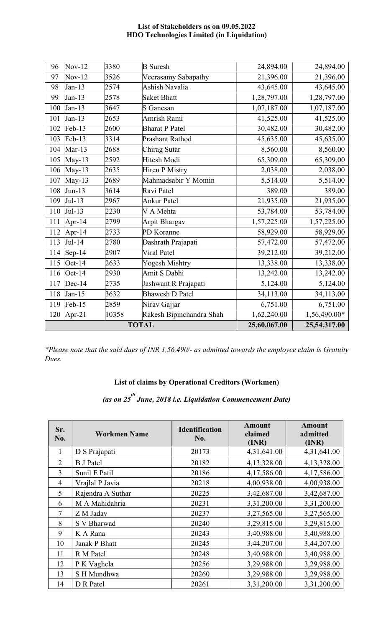| 10358<br>Rakesh Bipinchandra Shah<br>120<br>Apr-21<br><b>TOTAL</b> |                 |      |                        | 1,62,240.00<br>25,60,067.00 | 1,56,490.00*<br>25,54,317.00 |
|--------------------------------------------------------------------|-----------------|------|------------------------|-----------------------------|------------------------------|
| 119                                                                | $Feb-15$        | 2859 | Nirav Gajjar           | 6,751.00                    | 6,751.00                     |
| 118                                                                | $Jan-15$        | 3632 | <b>Bhawesh D Patel</b> | 34,113.00                   | 34,113.00                    |
| 117                                                                | $Dec-14$        | 2735 | Jashwant R Prajapati   | 5,124.00                    | 5,124.00                     |
| 116                                                                | $Oct-14$        | 2930 | Amit S Dabhi           | 13,242.00                   | 13,242.00                    |
| 115                                                                | $Oct-14$        | 2633 | Yogesh Mishtry         | 13,338.00                   | 13,338.00                    |
| 114                                                                | $\text{Sep-14}$ | 2907 | Viral Patel            | 39,212.00                   | 39,212.00                    |
| 113                                                                | $Jul-14$        | 2780 | Dashrath Prajapati     | 57,472.00                   | 57,472.00                    |
| 112                                                                | Apr-14          | 2733 | PD Koranne             | 58,929.00                   | 58,929.00                    |
| 111                                                                | Apr-14          | 2799 | Arpit Bhargav          | 1,57,225.00                 | 1,57,225.00                  |
| 110                                                                | $Jul-13$        | 2230 | V A Mehta              | 53,784.00                   | 53,784.00                    |
| 109                                                                | $Jul-13$        | 2967 | <b>Ankur Patel</b>     | 21,935.00                   | 21,935.00                    |
| 108                                                                | Jun-13          | 3614 | Ravi Patel             | 389.00                      | 389.00                       |
| 107                                                                | May-13          | 2689 | Mahmadsabir Y Momin    | 5,514.00                    | 5,514.00                     |
| 106                                                                | $May-13$        | 2635 | Hiren P Mistry         | 2,038.00                    | 2,038.00                     |
| 105                                                                | $May-13$        | 2592 | Hitesh Modi            | 65,309.00                   | 65,309.00                    |
| 104                                                                | $Mar-13$        | 2688 | Chirag Sutar           | 8,560.00                    | 8,560.00                     |
| 103                                                                | $Feb-13$        | 3314 | Prashant Rathod        | 45,635.00                   | 45,635.00                    |
| 102                                                                | $Feb-13$        | 2600 | <b>Bharat P Patel</b>  | 30,482.00                   | 30,482.00                    |
| 101                                                                | Jan-13          | 2653 | Amrish Rami            | 41,525.00                   | 41,525.00                    |
| 100                                                                | Jan-13          | 3647 | S Ganesan              | 1,07,187.00                 | 1,07,187.00                  |
| 99                                                                 | Jan-13          | 2578 | <b>Saket Bhatt</b>     | 1,28,797.00                 | 1,28,797.00                  |
| 98                                                                 | Jan-13          | 2574 | Ashish Navalia         | 43,645.00                   | 43,645.00                    |
| 97                                                                 | $Nov-12$        | 3526 | Veerasamy Sabapathy    | 21,396.00                   | 21,396.00                    |
| 96                                                                 | $Nov-12$        | 3380 | <b>B</b> Suresh        | 24,894.00                   | 24,894.00                    |

\*Please note that the said dues of INR 1,56,490/- as admitted towards the employee claim is Gratuity Dues.

# List of claims by Operational Creditors (Workmen)

(as on 25<sup>th</sup> June, 2018 i.e. Liquidation Commencement Date)

| Sr.<br>No.     | <b>Workmen Name</b> | <b>Identification</b><br>No. | <b>Amount</b><br>claimed<br>(INR) | <b>Amount</b><br>admitted<br>(INR) |
|----------------|---------------------|------------------------------|-----------------------------------|------------------------------------|
| 1              | D S Prajapati       | 20173                        | 4,31,641.00                       | 4,31,641.00                        |
| $\overline{2}$ | <b>B</b> J Patel    | 20182                        | 4,13,328.00                       | 4,13,328.00                        |
| 3              | Sunil E Patil       | 20186                        | 4,17,586.00                       | 4,17,586.00                        |
| $\overline{4}$ | Vrajlal P Javia     | 20218                        | 4,00,938.00                       | 4,00,938.00                        |
| 5              | Rajendra A Suthar   | 20225                        | 3,42,687.00                       | 3,42,687.00                        |
| 6              | M A Mahidahria      | 20231                        | 3,31,200.00                       | 3,31,200.00                        |
| 7              | Z M Jadav           | 20237                        | 3,27,565.00                       | 3,27,565.00                        |
| 8              | S V Bharwad         | 20240                        | 3,29,815.00                       | 3,29,815.00                        |
| 9              | K A Rana            | 20243                        | 3,40,988.00                       | 3,40,988.00                        |
| 10             | Janak P Bhatt       | 20245                        | 3,44,207.00                       | 3,44,207.00                        |
| 11             | R M Patel           | 20248                        | 3,40,988.00                       | 3,40,988.00                        |
| 12             | P K Vaghela         | 20256                        | 3,29,988.00                       | 3,29,988.00                        |
| 13             | S H Mundhwa         | 20260                        | 3,29,988.00                       | 3,29,988.00                        |
| 14             | D R Patel           | 20261                        | 3,31,200.00                       | 3,31,200.00                        |